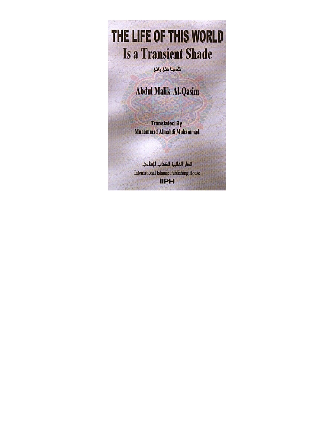THE LIFE OF THIS WORLD **Is a Transient Shade** 

الدنيا ظل زائل

**Abdul Malik Al-Qasim** 

**Translated By** Muhammad Almahdi Muhammad

الدار الفالين للكتاب الإسلوب International Islamic Publishing House **IIPH**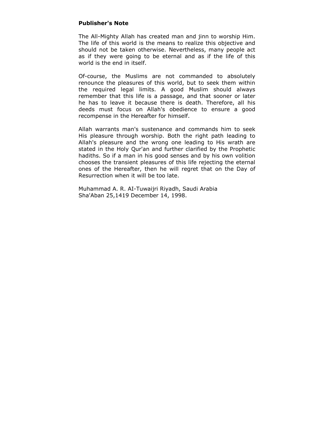# **Publisher's Note**

The All-Mighty Allah has created man and jinn to worship Him. The life of this world is the means to realize this objective and should not be taken otherwise. Nevertheless, many people act as if they were going to be eternal and as if the life of this world is the end in itself.

Of-course, the Muslims are not commanded to absolutely renounce the pleasures of this world, but to seek them within the required legal limits. A good Muslim should always remember that this life is a passage, and that sooner or later he has to leave it because there is death. Therefore, all his deeds must focus on Allah's obedience to ensure a good recompense in the Hereafter for himself.

Allah warrants man's sustenance and commands him to seek His pleasure through worship. Both the right path leading to Allah's pleasure and the wrong one leading to His wrath are stated in the Holy Qur'an and further clarified by the Prophetic hadiths. So if a man in his good senses and by his own volition chooses the transient pleasures of this life rejecting the eternal ones of the Hereafter, then he will regret that on the Day of Resurrection when it will be too late.

Muhammad A. R. AI-Tuwaijri Riyadh, Saudi Arabia Sha'Aban 25,1419 December 14, 1998.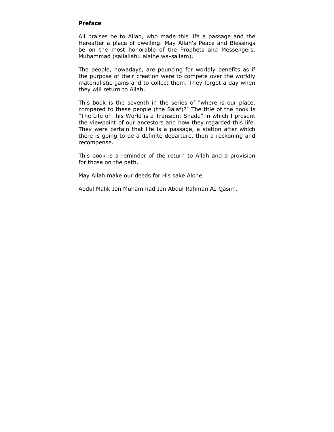# **Preface**

All praises be to Allah, who made this life a passage and the Hereafter a place of dwelling. May Allah's Peace and Blessings be on the most honorable of the Prophets and Messengers, Muhammad (sallallahu alaihe wa-sallam).

The people, nowadays, are pouncing for worldly benefits as if the purpose of their creation were to compete over the worldly materialistic gains and to collect them. They forgot a day when they will return to Allah.

This book is the seventh in the series of "where is our place, compared to these people (the Salaf)?" The title of the book is "The Life of This World is a Transient Shade" in which I present the viewpoint of our ancestors and how they regarded this life. They were certain that life is a passage, a station after which there is going to be a definite departure, then a reckoning and recompense.

This book is a reminder of the return to Allah and a provision for those on the path.

May Allah make our deeds for His sake Alone.

Abdul Malik Ibn Muhammad Ibn Abdul Rahman AI-Qasim.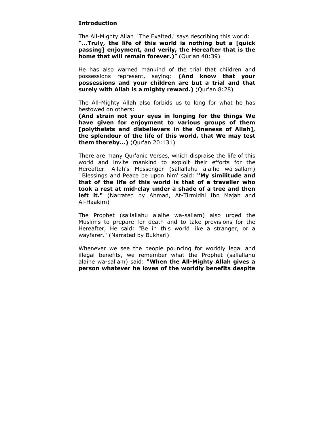# **Introduction**

The All-Mighty Allah `The Exalted,' says describing this world: **"...Truly, the life of this world is nothing but a [quick passing] enjoyment, and verily, the Hereafter that is the home that will remain forever.)**" (Qur'an 40:39)

He has also warned mankind of the trial that children and possessions represent, saying: **(And know that your possessions and your children are but a trial and that surely with Allah is a mighty reward.)** (Qur'an 8:28)

The All-Mighty Allah also forbids us to long for what he has bestowed on others:

**(And strain not your eyes in longing for the things We have given for enjoyment to various groups of them [polytheists and disbelievers in the Oneness of Allah], the splendour of the life of this world, that We may test them thereby...)** (Qur'an 20:131)

There are many Qur'anic Verses, which dispraise the life of this world and invite mankind to exploit their efforts for the Hereafter. Allah's Messenger (sallallahu alaihe wa-sallam) `Blessings and Peace be upon him' said: **"My similitude and that of the life of this world is that of a traveller who took a rest at mid-clay under a shade of a tree and then left it."** (Narrated by Ahmad, At-Tirmidhi Ibn Majah and Al-Haakim)

The Prophet (sallallahu alaihe wa-sallam) also urged the Muslims to prepare for death and to take provisions for the Hereafter, He said: "Be in this world like a stranger, or a wayfarer." (Narrated by Bukhari)

Whenever we see the people pouncing for worldly legal and illegal benefits, we remember what the Prophet (sallallahu alaihe wa-sallam) said: **"When the All-Mighty Allah gives a person whatever he loves of the worldly benefits despite**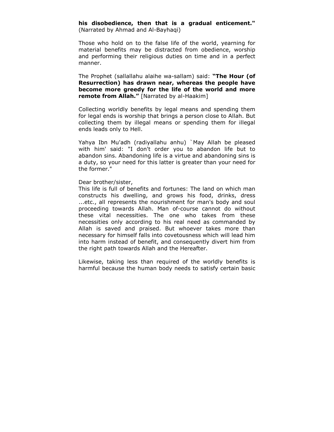# **his disobedience, then that is a gradual enticement."**  (Narrated by Ahmad and Al-Bayhaqi)

Those who hold on to the false life of the world, yearning for material benefits may be distracted from obedience, worship and performing their religious duties on time and in a perfect manner.

The Prophet (sallallahu alaihe wa-sallam) said: **"The Hour (of Resurrection) has drawn near, whereas the people have become more greedy for the life of the world and more remote from Allah."** [Narrated by al-Haakim]

Collecting worldly benefits by legal means and spending them for legal ends is worship that brings a person close to Allah. But collecting them by illegal means or spending them for illegal ends leads only to Hell.

Yahya Ibn Mu'adh (radiyallahu anhu) `May Allah be pleased with him' said: "I don't order you to abandon life but to abandon sins. Abandoning life is a virtue and abandoning sins is a duty, so your need for this latter is greater than your need for the former."

# Dear brother/sister,

This life is full of benefits and fortunes: The land on which man constructs his dwelling, and grows his food, drinks, dress ...etc., all represents the nourishment for man's body and soul proceeding towards Allah. Man of-course cannot do without these vital necessities. The one who takes from these necessities only according to his real need as commanded by Allah is saved and praised. But whoever takes more than necessary for himself falls into covetousness which will lead him into harm instead of benefit, and consequently divert him from the right path towards Allah and the Hereafter.

Likewise, taking less than required of the worldly benefits is harmful because the human body needs to satisfy certain basic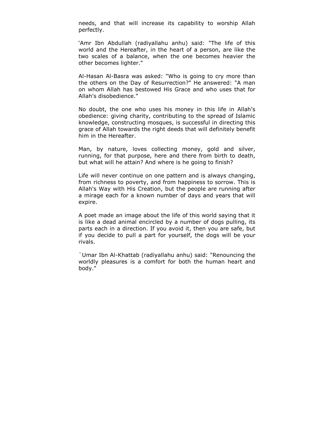needs, and that will increase its capability to worship Allah perfectly.

'Amr Ibn Abdullah (radiyallahu anhu) said: "The life of this world and the Hereafter, in the heart of a person, are like the two scales of a balance, when the one becomes heavier the other becomes lighter."

Al-Hasan Al-Basra was asked: "Who is going to cry more than the others on the Day of Resurrection?" He answered: "A man on whom Allah has bestowed His Grace and who uses that for Allah's disobedience."

No doubt, the one who uses his money in this life in Allah's obedience: giving charity, contributing to the spread of Islamic knowledge, constructing mosques, is successful in directing this grace of Allah towards the right deeds that will definitely benefit him in the Hereafter.

Man, by nature, loves collecting money, gold and silver, running, for that purpose, here and there from birth to death, but what will he attain? And where is he going to finish?

Life will never continue on one pattern and is always changing, from richness to poverty, and from happiness to sorrow. This is Allah's Way with His Creation, but the people are running after a mirage each for a known number of days and years that will expire.

A poet made an image about the life of this world saying that it is like a dead animal encircled by a number of dogs pulling, its parts each in a direction. If you avoid it, then you are safe, but if you decide to pull a part for yourself, the dogs will be your rivals.

`Umar Ibn Al-Khattab (radiyallahu anhu) said: "Renouncing the worldly pleasures is a comfort for both the human heart and body."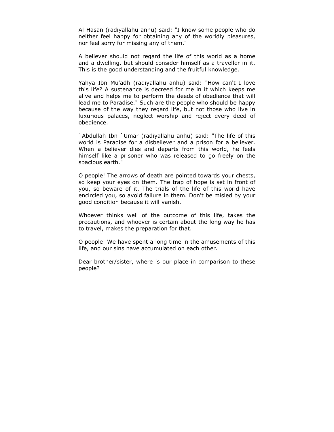Al-Hasan (radiyallahu anhu) said: "I know some people who do neither feel happy for obtaining any of the worldly pleasures, nor feel sorry for missing any of them."

A believer should not regard the life of this world as a home and a dwelling, but should consider himself as a traveller in it. This is the good understanding and the fruitful knowledge.

Yahya Ibn Mu'adh (radiyallahu anhu) said: "How can't I love this life? A sustenance is decreed for me in it which keeps me alive and helps me to perform the deeds of obedience that will lead me to Paradise." Such are the people who should be happy because of the way they regard life, but not those who live in luxurious palaces, neglect worship and reject every deed of obedience.

`Abdullah Ibn `Umar (radiyallahu anhu) said: "The life of this world is Paradise for a disbeliever and a prison for a believer. When a believer dies and departs from this world, he feels himself like a prisoner who was released to go freely on the spacious earth."

O people! The arrows of death are pointed towards your chests, so keep your eyes on them. The trap of hope is set in front of you, so beware of it. The trials of the life of this world have encircled you, so avoid failure in them. Don't be misled by your good condition because it will vanish.

Whoever thinks well of the outcome of this life, takes the precautions, and whoever is certain about the long way he has to travel, makes the preparation for that.

O people! We have spent a long time in the amusements of this life, and our sins have accumulated on each other.

Dear brother/sister, where is our place in comparison to these people?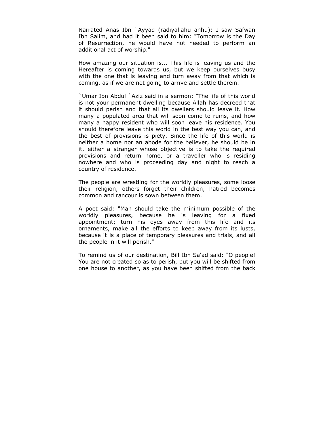Narrated Anas Ibn `Ayyad (radiyallahu anhu): I saw Safwan Ibn Salim, and had it been said to him: "Tomorrow is the Day of Resurrection, he would have not needed to perform an additional act of worship."

How amazing our situation is... This life is leaving us and the Hereafter is coming towards us, but we keep ourselves busy with the one that is leaving and turn away from that which is coming, as if we are not going to arrive and settle therein.

`Umar Ibn Abdul `Aziz said in a sermon: "The life of this world is not your permanent dwelling because Allah has decreed that it should perish and that all its dwellers should leave it. How many a populated area that will soon come to ruins, and how many a happy resident who will soon leave his residence. You should therefore leave this world in the best way you can, and the best of provisions is piety. Since the life of this world is neither a home nor an abode for the believer, he should be in it, either a stranger whose objective is to take the required provisions and return home, or a traveller who is residing nowhere and who is proceeding day and night to reach a country of residence.

The people are wrestling for the worldly pleasures, some loose their religion, others forget their children, hatred becomes common and rancour is sown between them.

A poet said: "Man should take the minimum possible of the worldly pleasures, because he is leaving for a fixed appointment; turn his eyes away from this life and its ornaments, make all the efforts to keep away from its lusts, because it is a place of temporary pleasures and trials, and all the people in it will perish."

To remind us of our destination, Bill Ibn Sa'ad said: "O people! You are not created so as to perish, but you will be shifted from one house to another, as you have been shifted from the back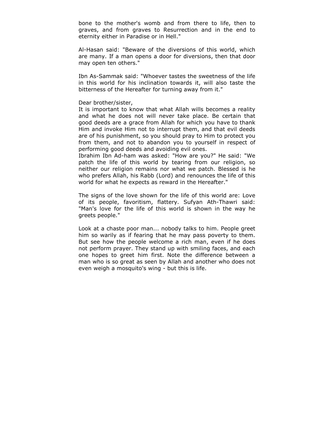bone to the mother's womb and from there to life, then to graves, and from graves to Resurrection and in the end to eternity either in Paradise or in Hell."

Al-Hasan said: "Beware of the diversions of this world, which are many. If a man opens a door for diversions, then that door may open ten others."

Ibn As-Sammak said: "Whoever tastes the sweetness of the life in this world for his inclination towards it, will also taste the bitterness of the Hereafter for turning away from it."

### Dear brother/sister,

It is important to know that what Allah wills becomes a reality and what he does not will never take place. Be certain that good deeds are a grace from Allah for which you have to thank Him and invoke Him not to interrupt them, and that evil deeds are of his punishment, so you should pray to Him to protect you from them, and not to abandon you to yourself in respect of performing good deeds and avoiding evil ones.

Ibrahim Ibn Ad-ham was asked: "How are you?" He said: "We patch the life of this world by tearing from our religion, so neither our religion remains nor what we patch. Blessed is he who prefers Allah, his Rabb (Lord) and renounces the life of this world for what he expects as reward in the Hereafter."

The signs of the love shown for the life of this world are: Love of its people, favoritism, flattery. Sufyan Ath-Thawri said: "Man's love for the life of this world is shown in the way he greets people."

Look at a chaste poor man... nobody talks to him. People greet him so warily as if fearing that he may pass poverty to them. But see how the people welcome a rich man, even if he does not perform prayer. They stand up with smiling faces, and each one hopes to greet him first. Note the difference between a man who is so great as seen by Allah and another who does not even weigh a mosquito's wing - but this is life.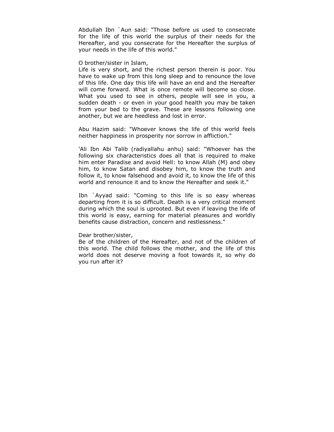Abdullah Ibn `Aun said: "Those before us used to consecrate for the life of this world the surplus of their needs for the Hereafter, and you consecrate for the Hereafter the surplus of your needs in the life of this world."

### O brother/sister in Islam,

Life is very short, and the richest person therein is poor. You have to wake up from this long sleep and to renounce the love of this life. One day this life will have an end and the Hereafter will come forward. What is once remote will become so close. What you used to see in others, people will see in you, a sudden death - or even in your good health you may be taken from your bed to the grave. These are lessons following one another, but we are heedless and lost in error.

Abu Hazim said: "Whoever knows the life of this world feels neither happiness in prosperity nor sorrow in affliction."

'Ali Ibn Abi Talib (radiyallahu anhu) said: "Whoever has the following six characteristics does all that is required to make him enter Paradise and avoid Hell: to know Allah (M) and obey him, to know Satan and disobey him, to know the truth and follow it, to know falsehood and avoid it, to know the life of this world and renounce it and to know the Hereafter and seek it."

Ibn `Ayyad said: "Coming to this life is so easy whereas departing from it is so difficult. Death is a very critical moment during which the soul is uprooted. But even if leaving the life of this world is easy, earning for material pleasures and worldly benefits cause distraction, concern and restlessness."

## Dear brother/sister,

Be of the children of the Hereafter, and not of the children of this world. The child follows the mother, and the life of this world does not deserve moving a foot towards it, so why do you run after it?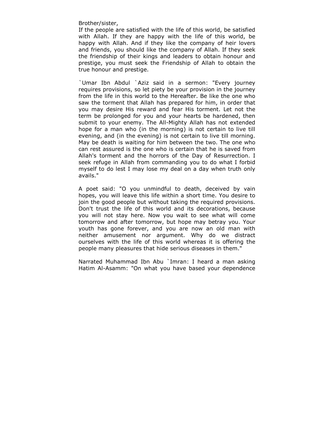Brother/sister,

If the people are satisfied with the life of this world, be satisfied with Allah. If they are happy with the life of this world, be happy with Allah. And if they like the company of heir lovers and friends, you should like the company of Allah. If they seek the friendship of their kings and leaders to obtain honour and prestige, you must seek the Friendship of Allah to obtain the true honour and prestige.

`Umar Ibn Abdul `Aziz said in a sermon: "Every journey requires provisions, so let piety be your provision in the journey from the life in this world to the Hereafter. Be like the one who saw the torment that Allah has prepared for him, in order that you may desire His reward and fear His torment. Let not the term be prolonged for you and your hearts be hardened, then submit to your enemy. The All-Mighty Allah has not extended hope for a man who (in the morning) is not certain to live till evening, and (in the evening) is not certain to live till morning. May be death is waiting for him between the two. The one who can rest assured is the one who is certain that he is saved from Allah's torment and the horrors of the Day of Resurrection. I seek refuge in Allah from commanding you to do what I forbid myself to do lest I may lose my deal on a day when truth only avails."

A poet said: "O you unmindful to death, deceived by vain hopes, you will leave this life within a short time. You desire to join the good people but without taking the required provisions. Don't trust the life of this world and its decorations, because you will not stay here. Now you wait to see what will come tomorrow and after tomorrow, but hope may betray you. Your youth has gone forever, and you are now an old man with neither amusement nor argument. Why do we distract ourselves with the life of this world whereas it is offering the people many pleasures that hide serious diseases in them."

Narrated Muhammad Ibn Abu `Imran: I heard a man asking Hatim Al-Asamm: "On what you have based your dependence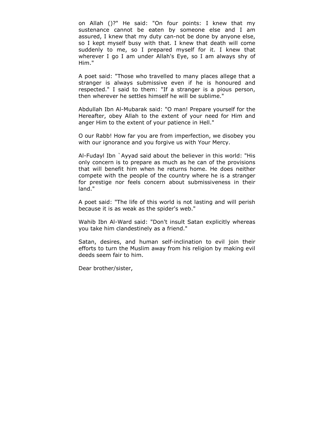on Allah ()?" He said: "On four points: I knew that my sustenance cannot be eaten by someone else and I am assured, I knew that my duty can-not be done by anyone else, so I kept myself busy with that. I knew that death will come suddenly to me, so I prepared myself for it. I knew that wherever I go I am under Allah's Eye, so I am always shy of Him."

A poet said: "Those who travelled to many places allege that a stranger is always submissive even if he is honoured and respected." I said to them: "If a stranger is a pious person, then wherever he settles himself he will be sublime."

Abdullah Ibn Al-Mubarak said: "O man! Prepare yourself for the Hereafter, obey Allah to the extent of your need for Him and anger Him to the extent of your patience in Hell."

O our Rabb! How far you are from imperfection, we disobey you with our ignorance and you forgive us with Your Mercy.

Al-Fudayl Ibn `Ayyad said about the believer in this world: "His only concern is to prepare as much as he can of the provisions that will benefit him when he returns home. He does neither compete with the people of the country where he is a stranger for prestige nor feels concern about submissiveness in their land."

A poet said: "The life of this world is not lasting and will perish because it is as weak as the spider's web."

Wahib Ibn Al-Ward said: "Don't insult Satan explicitly whereas you take him clandestinely as a friend."

Satan, desires, and human self-inclination to evil join their efforts to turn the Muslim away from his religion by making evil deeds seem fair to him.

Dear brother/sister,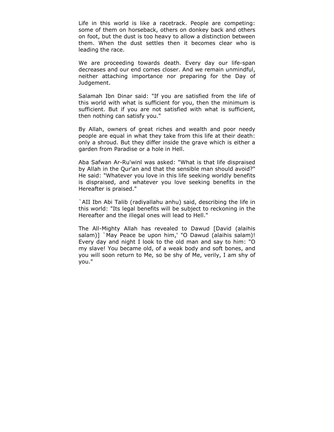Life in this world is like a racetrack. People are competing: some of them on horseback, others on donkey back and others on foot, but the dust is too heavy to allow a distinction between them. When the dust settles then it becomes clear who is leading the race.

We are proceeding towards death. Every day our life-span decreases and our end comes closer. And we remain unmindful, neither attaching importance nor preparing for the Day of Judgement.

Salamah Ibn Dinar said: "If you are satisfied from the life of this world with what is sufficient for you, then the minimum is sufficient. But if you are not satisfied with what is sufficient, then nothing can satisfy you."

By Allah, owners of great riches and wealth and poor needy people are equal in what they take from this life at their death: only a shroud. But they differ inside the grave which is either a garden from Paradise or a hole in Hell.

Aba Safwan Ar-Ru'winl was asked: "What is that life dispraised by Allah in the Qur'an and that the sensible man should avoid?" He said: "Whatever you love in this life seeking worldly benefits is dispraised, and whatever you love seeking benefits in the Hereafter is praised."

`AII Ibn Abi Talib (radiyallahu anhu) said, describing the life in this world: "Its legal benefits will be subject to reckoning in the Hereafter and the illegal ones will lead to Hell."

The All-Mighty Allah has revealed to Dawud [David (alaihis salam)] `May Peace be upon him,' "O Dawud (alaihis salam)! Every day and night I look to the old man and say to him: "O my slave! You became old, of a weak body and soft bones, and you will soon return to Me, so be shy of Me, verily, I am shy of you."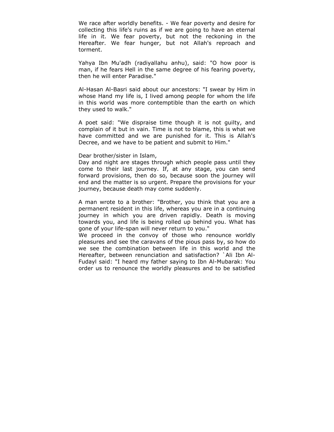We race after worldly benefits. - We fear poverty and desire for collecting this life's ruins as if we are going to have an eternal life in it. We fear poverty, but not the reckoning in the Hereafter. We fear hunger, but not Allah's reproach and torment.

Yahya Ibn Mu'adh (radiyallahu anhu), said: "O how poor is man, if he fears Hell in the same degree of his fearing poverty, then he will enter Paradise."

Al-Hasan Al-Basri said about our ancestors: "I swear by Him in whose Hand my life is, I lived among people for whom the life in this world was more contemptible than the earth on which they used to walk."

A poet said: "We dispraise time though it is not guilty, and complain of it but in vain. Time is not to blame, this is what we have committed and we are punished for it. This is Allah's Decree, and we have to be patient and submit to Him."

Dear brother/sister in Islam,

Day and night are stages through which people pass until they come to their last journey. If, at any stage, you can send forward provisions, then do so, because soon the journey will end and the matter is so urgent. Prepare the provisions for your journey, because death may come suddenly.

A man wrote to a brother: "Brother, you think that you are a permanent resident in this life, whereas you are in a continuing journey in which you are driven rapidly. Death is moving towards you, and life is being rolled up behind you. What has gone of your life-span will never return to you."

We proceed in the convoy of those who renounce worldly pleasures and see the caravans of the pious pass by, so how do we see the combination between life in this world and the Hereafter, between renunciation and satisfaction? `Ali Ibn Al-Fudayl said: "I heard my father saying to Ibn Al-Mubarak: You order us to renounce the worldly pleasures and to be satisfied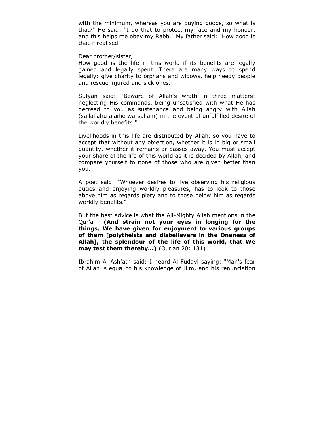with the minimum, whereas you are buying goods, so what is that?" He said: "I do that to protect my face and my honour, and this helps me obey my Rabb." My father said: "How good is that if realised."

Dear brother/sister,

How good is the life in this world if its benefits are legally gained and legally spent. There are many ways to spend legally: give charity to orphans and widows, help needy people and rescue injured and sick ones.

Sufyan said: "Beware of Allah's wrath in three matters: neglecting His commands, being unsatisfied with what He has decreed to you as sustenance and being angry with Allah (sallallahu alaihe wa-sallam) in the event of unfulfilled desire of the worldly benefits."

Livelihoods in this life are distributed by Allah, so you have to accept that without any objection, whether it is in big or small quantity, whether it remains or passes away. You must accept your share of the life of this world as it is decided by Allah, and compare yourself to none of those who are given better than you.

A poet said: "Whoever desires to live observing his religious duties and enjoying worldly pleasures, has to look to those above him as regards piety and to those below him as regards worldly benefits."

But the best advice is what the All-Mighty Allah mentions in the Qur'an: **(And strain not your eyes in longing for the things, We have given for enjoyment to various groups of them [polytheists and disbelievers in the Oneness of Allah], the splendour of the life of this world, that We may test them thereby...)** (Qur'an 20: 131)

Ibrahim Al-Ash'ath said: I heard Al-Fudayl saying: "Man's fear of Allah is equal to his knowledge of Him, and his renunciation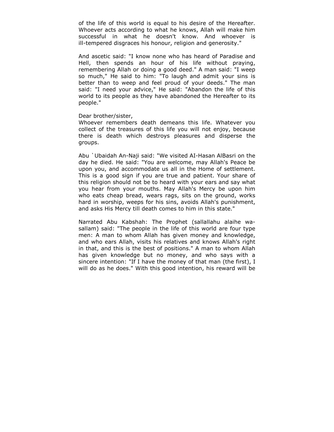of the life of this world is equal to his desire of the Hereafter. Whoever acts according to what he knows, Allah will make him successful in what he doesn't know. And whoever is ill-tempered disgraces his honour, religion and generosity."

And ascetic said: "I know none who has heard of Paradise and Hell, then spends an hour of his life without praying, remembering Allah or doing a good deed." A man said: "I weep so much," He said to him: "To laugh and admit your sins is better than to weep and feel proud of your deeds." The man said: "I need your advice," He said: "Abandon the life of this world to its people as they have abandoned the Hereafter to its people."

## Dear brother/sister,

Whoever remembers death demeans this life. Whatever you collect of the treasures of this life you will not enjoy, because there is death which destroys pleasures and disperse the groups.

Abu `Ubaidah An-Naji said: "We visited AI-Hasan AlBasri on the day he died. He said: "You are welcome, may Allah's Peace be upon you, and accommodate us all in the Home of settlement. This is a good sign if you are true and patient. Your share of this religion should not be to heard with your ears and say what you hear from your mouths. May Allah's Mercy be upon him who eats cheap bread, wears rags, sits on the ground, works hard in worship, weeps for his sins, avoids Allah's punishment, and asks His Mercy till death comes to him in this state."

Narrated Abu Kabshah: The Prophet (sallallahu alaihe wasallam) said: "The people in the life of this world are four type men: A man to whom Allah has given money and knowledge, and who ears Allah, visits his relatives and knows Allah's right in that, and this is the best of positions." A man to whom Allah has given knowledge but no money, and who says with a sincere intention: "If I have the money of that man (the first), I will do as he does." With this good intention, his reward will be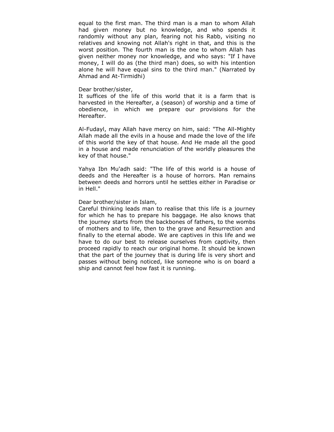equal to the first man. The third man is a man to whom Allah had given money but no knowledge, and who spends it randomly without any plan, fearing not his Rabb, visiting no relatives and knowing not Allah's right in that, and this is the worst position. The fourth man is the one to whom Allah has given neither money nor knowledge, and who says: "If I have money, I will do as (the third man) does, so with his intention alone he will have equal sins to the third man." (Narrated by Ahmad and At-Tirmidhi)

#### Dear brother/sister,

It suffices of the life of this world that it is a farm that is harvested in the Hereafter, a (season) of worship and a time of obedience, in which we prepare our provisions for the Hereafter.

Al-Fudayl, may Allah have mercy on him, said: "The All-Mighty Allah made all the evils in a house and made the love of the life of this world the key of that house. And He made all the good in a house and made renunciation of the worldly pleasures the key of that house."

Yahya Ibn Mu'adh said: "The life of this world is a house of deeds and the Hereafter is a house of horrors. Man remains between deeds and horrors until he settles either in Paradise or in Hell."

## Dear brother/sister in Islam,

Careful thinking leads man to realise that this life is a journey for which he has to prepare his baggage. He also knows that the journey starts from the backbones of fathers, to the wombs of mothers and to life, then to the grave and Resurrection and finally to the eternal abode. We are captives in this life and we have to do our best to release ourselves from captivity, then proceed rapidly to reach our original home. It should be known that the part of the journey that is during life is very short and passes without being noticed, like someone who is on board a ship and cannot feel how fast it is running.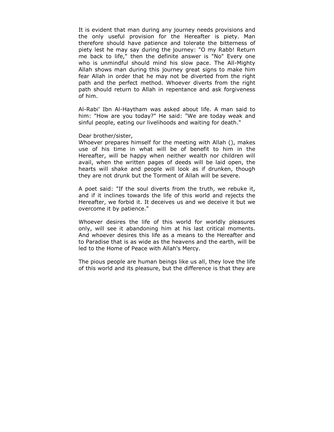It is evident that man during any journey needs provisions and the only useful provision for the Hereafter is piety. Man therefore should have patience and tolerate the bitterness of piety lest he may say during the journey: "O my Rabb! Return me back to life," then the definite answer is "No" Every one who is unmindful should mind his slow pace. The All-Mighty Allah shows man during this journey great signs to make him fear Allah in order that he may not be diverted from the right path and the perfect method. Whoever diverts from the right path should return to Allah in repentance and ask forgiveness of him.

Al-Rabi' Ibn Al-Haytham was asked about life. A man said to him: "How are you today?" He said: "We are today weak and sinful people, eating our livelihoods and waiting for death."

Dear brother/sister,

Whoever prepares himself for the meeting with Allah (), makes use of his time in what will be of benefit to him in the Hereafter, will be happy when neither wealth nor children will avail, when the written pages of deeds will be laid open, the hearts will shake and people will look as if drunken, though they are not drunk but the Torment of Allah will be severe.

A poet said: "If the soul diverts from the truth, we rebuke it, and if it inclines towards the life of this world and rejects the Hereafter, we forbid it. It deceives us and we deceive it but we overcome it by patience."

Whoever desires the life of this world for worldly pleasures only, will see it abandoning him at his last critical moments. And whoever desires this life as a means to the Hereafter and to Paradise that is as wide as the heavens and the earth, will be led to the Home of Peace with Allah's Mercy.

The pious people are human beings like us all, they love the life of this world and its pleasure, but the difference is that they are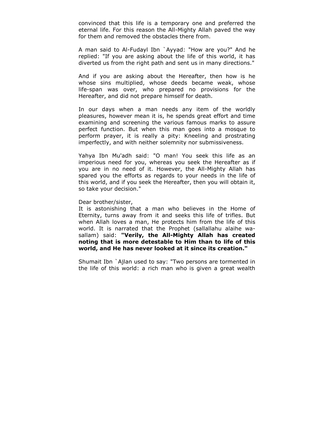convinced that this life is a temporary one and preferred the eternal life. For this reason the All-Mighty Allah paved the way for them and removed the obstacles there from.

A man said to Al-Fudayl Ibn `Ayyad: "How are you?" And he replied: "If you are asking about the life of this world, it has diverted us from the right path and sent us in many directions."

And if you are asking about the Hereafter, then how is he whose sins multiplied, whose deeds became weak, whose life-span was over, who prepared no provisions for the Hereafter, and did not prepare himself for death.

In our days when a man needs any item of the worldly pleasures, however mean it is, he spends great effort and time examining and screening the various famous marks to assure perfect function. But when this man goes into a mosque to perform prayer, it is really a pity: Kneeling and prostrating imperfectly, and with neither solemnity nor submissiveness.

Yahya Ibn Mu'adh said: "O man! You seek this life as an imperious need for you, whereas you seek the Hereafter as if you are in no need of it. However, the All-Mighty Allah has spared you the efforts as regards to your needs in the life of this world, and if you seek the Hereafter, then you will obtain it, so take your decision."

### Dear brother/sister,

It is astonishing that a man who believes in the Home of Eternity, turns away from it and seeks this life of trifles. But when Allah loves a man, He protects him from the life of this world. It is narrated that the Prophet (sallallahu alaihe wasallam) said: **"Verily, the All-Mighty Allah has created noting that is more detestable to Him than to life of this world, and He has never looked at it since its creation."** 

Shumait Ibn `Ajlan used to say: "Two persons are tormented in the life of this world: a rich man who is given a great wealth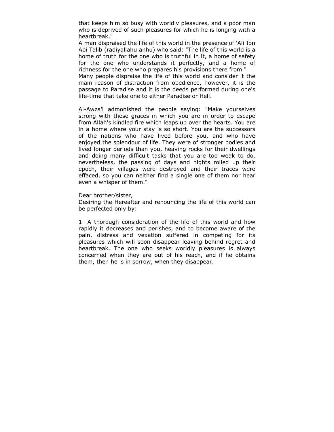that keeps him so busy with worldly pleasures, and a poor man who is deprived of such pleasures for which he is longing with a heartbreak."

A man dispraised the life of this world in the presence of 'Ali Ibn Abi Talib (radiyallahu anhu) who said: "The life of this world is a home of truth for the one who is truthful in it, a home of safety for the one who understands it perfectly, and a home of richness for the one who prepares his provisions there from."

Many people dispraise the life of this world and consider it the main reason of distraction from obedience, however, it is the passage to Paradise and it is the deeds performed during one's life-time that take one to either Paradise or Hell.

Al-Awza'i admonished the people saying: "Make yourselves strong with these graces in which you are in order to escape from Allah's kindled fire which leaps up over the hearts. You are in a home where your stay is so short. You are the successors of the nations who have lived before you, and who have enjoyed the splendour of life. They were of stronger bodies and lived longer periods than you, heaving rocks for their dwellings and doing many difficult tasks that you are too weak to do, nevertheless, the passing of days and nights rolled up their epoch, their villages were destroyed and their traces were effaced, so you can neither find a single one of them nor hear even a whisper of them."

Dear brother/sister,

Desiring the Hereafter and renouncing the life of this world can be perfected only by:

1- A thorough consideration of the life of this world and how rapidly it decreases and perishes, and to become aware of the pain, distress and vexation suffered in competing for its pleasures which will soon disappear leaving behind regret and heartbreak. The one who seeks worldly pleasures is always concerned when they are out of his reach, and if he obtains them, then he is in sorrow, when they disappear.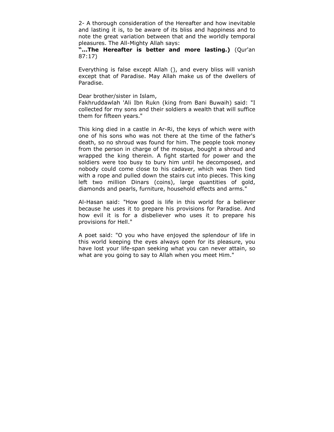2- A thorough consideration of the Hereafter and how inevitable and lasting it is, to be aware of its bliss and happiness and to note the great variation between that and the worldly temporal pleasures. The All-Mighty Allah says:

**"...The Hereafter is better and more lasting.)** (Qur'an 87:17)

Everything is false except Allah (), and every bliss will vanish except that of Paradise. May Allah make us of the dwellers of Paradise.

Dear brother/sister in Islam,

Fakhruddawlah 'Ali Ibn Rukn (king from Bani Buwaih) said: "I collected for my sons and their soldiers a wealth that will suffice them for fifteen years."

This king died in a castle in Ar-Ri, the keys of which were with one of his sons who was not there at the time of the father's death, so no shroud was found for him. The people took money from the person in charge of the mosque, bought a shroud and wrapped the king therein. A fight started for power and the soldiers were too busy to bury him until he decomposed, and nobody could come close to his cadaver, which was then tied with a rope and pulled down the stairs cut into pieces. This king left two million Dinars (coins), large quantities of gold, diamonds and pearls, furniture, household effects and arms."

Al-Hasan said: "How good is life in this world for a believer because he uses it to prepare his provisions for Paradise. And how evil it is for a disbeliever who uses it to prepare his provisions for Hell."

A poet said: "O you who have enjoyed the splendour of life in this world keeping the eyes always open for its pleasure, you have lost your life-span seeking what you can never attain, so what are you going to say to Allah when you meet Him."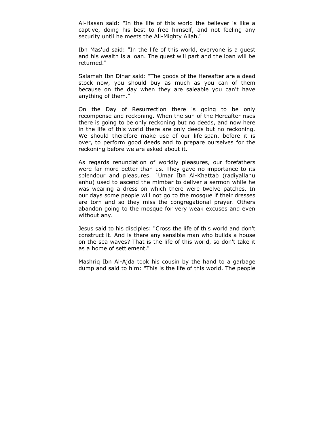Al-Hasan said: "In the life of this world the believer is like a captive, doing his best to free himself, and not feeling any security until he meets the All-Mighty Allah."

Ibn Mas'ud said: "In the life of this world, everyone is a guest and his wealth is a loan. The guest will part and the loan will be returned."

Salamah Ibn Dinar said: "The goods of the Hereafter are a dead stock now, you should buy as much as you can of them because on the day when they are saleable you can't have anything of them."

On the Day of Resurrection there is going to be only recompense and reckoning. When the sun of the Hereafter rises there is going to be only reckoning but no deeds, and now here in the life of this world there are only deeds but no reckoning. We should therefore make use of our life-span, before it is over, to perform good deeds and to prepare ourselves for the reckoning before we are asked about it.

As regards renunciation of worldly pleasures, our forefathers were far more better than us. They gave no importance to its splendour and pleasures. `Umar Ibn Al-Khattab (radiyallahu anhu) used to ascend the mimbar to deliver a sermon while he was wearing a dress on which there were twelve patches. In our days some people will not go to the mosque if their dresses are torn and so they miss the congregational prayer. Others abandon going to the mosque for very weak excuses and even without any.

Jesus said to his disciples: "Cross the life of this world and don't construct it. And is there any sensible man who builds a house on the sea waves? That is the life of this world, so don't take it as a home of settlement."

Mashriq Ibn Al-Ajda took his cousin by the hand to a garbage dump and said to him: "This is the life of this world. The people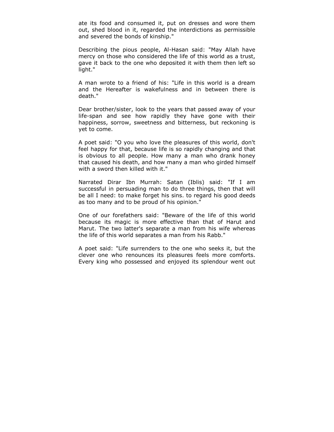ate its food and consumed it, put on dresses and wore them out, shed blood in it, regarded the interdictions as permissible and severed the bonds of kinship."

Describing the pious people, Al-Hasan said: "May Allah have mercy on those who considered the life of this world as a trust, gave it back to the one who deposited it with them then left so light."

A man wrote to a friend of his: "Life in this world is a dream and the Hereafter is wakefulness and in between there is death."

Dear brother/sister, look to the years that passed away of your life-span and see how rapidly they have gone with their happiness, sorrow, sweetness and bitterness, but reckoning is yet to come.

A poet said: "O you who love the pleasures of this world, don't feel happy for that, because life is so rapidly changing and that is obvious to all people. How many a man who drank honey that caused his death, and how many a man who girded himself with a sword then killed with it."

Narrated Dirar Ibn Murrah: Satan (Iblis) said: "If I am successful in persuading man to do three things, then that will be all I need: to make forget his sins. to regard his good deeds as too many and to be proud of his opinion."

One of our forefathers said: "Beware of the life of this world because its magic is more effective than that of Harut and Marut. The two latter's separate a man from his wife whereas the life of this world separates a man from his Rabb."

A poet said: "Life surrenders to the one who seeks it, but the clever one who renounces its pleasures feels more comforts. Every king who possessed and enjoyed its splendour went out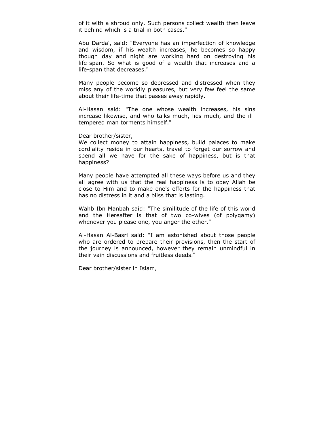of it with a shroud only. Such persons collect wealth then leave it behind which is a trial in both cases."

Abu Darda', said: "Everyone has an imperfection of knowledge and wisdom, if his wealth increases, he becomes so happy though day and night are working hard on destroying his life-span. So what is good of a wealth that increases and a life-span that decreases."

Many people become so depressed and distressed when they miss any of the worldly pleasures, but very few feel the same about their life-time that passes away rapidly.

Al-Hasan said: "The one whose wealth increases, his sins increase likewise, and who talks much, lies much, and the illtempered man torments himself."

Dear brother/sister,

We collect money to attain happiness, build palaces to make cordiality reside in our hearts, travel to forget our sorrow and spend all we have for the sake of happiness, but is that happiness?

Many people have attempted all these ways before us and they all agree with us that the real happiness is to obey Allah be close to Him and to make one's efforts for the happiness that has no distress in it and a bliss that is lasting.

Wahb Ibn Manbah said: "The similitude of the life of this world and the Hereafter is that of two co-wives (of polygamy) whenever you please one, you anger the other."

Al-Hasan Al-Basri said: "I am astonished about those people who are ordered to prepare their provisions, then the start of the journey is announced, however they remain unmindful in their vain discussions and fruitless deeds."

Dear brother/sister in Islam,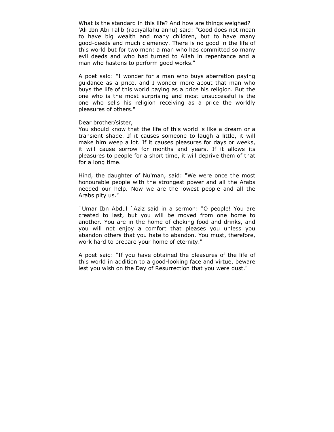What is the standard in this life? And how are things weighed? 'Ali Ibn Abi Talib (radiyallahu anhu) said: "Good does not mean to have big wealth and many children, but to have many good-deeds and much clemency. There is no good in the life of this world but for two men: a man who has committed so many evil deeds and who had turned to Allah in repentance and a man who hastens to perform good works."

A poet said: "I wonder for a man who buys aberration paying guidance as a price, and I wonder more about that man who buys the life of this world paying as a price his religion. But the one who is the most surprising and most unsuccessful is the one who sells his religion receiving as a price the worldly pleasures of others."

### Dear brother/sister,

You should know that the life of this world is like a dream or a transient shade. If it causes someone to laugh a little, it will make him weep a lot. If it causes pleasures for days or weeks, it will cause sorrow for months and years. If it allows its pleasures to people for a short time, it will deprive them of that for a long time.

Hind, the daughter of Nu'man, said: "We were once the most honourable people with the strongest power and all the Arabs needed our help. Now we are the lowest people and all the Arabs pity us."

`Umar Ibn Abdul `Aziz said in a sermon: "O people! You are created to last, but you will be moved from one home to another. You are in the home of choking food and drinks, and you will not enjoy a comfort that pleases you unless you abandon others that you hate to abandon. You must, therefore, work hard to prepare your home of eternity."

A poet said: "If you have obtained the pleasures of the life of this world in addition to a good-looking face and virtue, beware lest you wish on the Day of Resurrection that you were dust."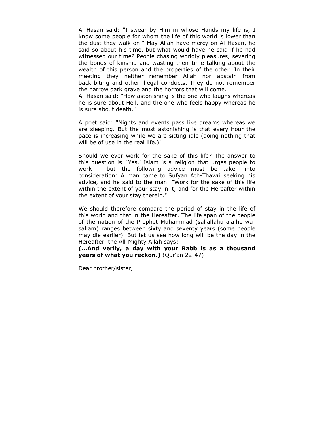Al-Hasan said: "I swear by Him in whose Hands my life is, I know some people for whom the life of this world is lower than the dust they walk on." May Allah have mercy on Al-Hasan, he said so about his time, but what would have he said if he had witnessed our time? People chasing worldly pleasures, severing the bonds of kinship and wasting their time talking about the wealth of this person and the properties of the other. In their meeting they neither remember Allah nor abstain from back-biting and other illegal conducts. They do not remember the narrow dark grave and the horrors that will come.

Al-Hasan said: "How astonishing is the one who laughs whereas he is sure about Hell, and the one who feels happy whereas he is sure about death."

A poet said: "Nights and events pass like dreams whereas we are sleeping. But the most astonishing is that every hour the pace is increasing while we are sitting idle (doing nothing that will be of use in the real life.)"

Should we ever work for the sake of this life? The answer to this question is `Yes.' Islam is a religion that urges people to work - but the following advice must be taken into consideration: A man came to Sufyan Ath-Thawri seeking his advice, and he said to the man: "Work for the sake of this life within the extent of your stay in it, and for the Hereafter within the extent of your stay therein."

We should therefore compare the period of stay in the life of this world and that in the Hereafter. The life span of the people of the nation of the Prophet Muhammad (sallallahu alaihe wasallam) ranges between sixty and seventy years (some people may die earlier). But let us see how long will be the day in the Hereafter, the All-Mighty Allah says:

**(...And verily, a day with your Rabb is as a thousand years of what you reckon.)** (Qur'an 22:47)

Dear brother/sister,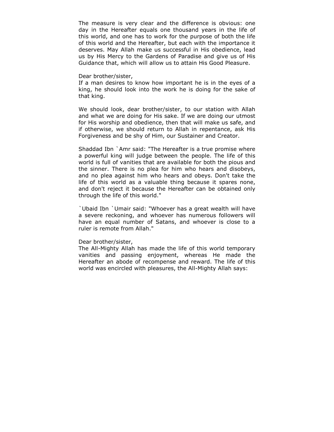The measure is very clear and the difference is obvious: one day in the Hereafter equals one thousand years in the life of this world, and one has to work for the purpose of both the life of this world and the Hereafter, but each with the importance it deserves. May Allah make us successful in His obedience, lead us by His Mercy to the Gardens of Paradise and give us of His Guidance that, which will allow us to attain His Good Pleasure.

#### Dear brother/sister,

If a man desires to know how important he is in the eyes of a king, he should look into the work he is doing for the sake of that king.

We should look, dear brother/sister, to our station with Allah and what we are doing for His sake. If we are doing our utmost for His worship and obedience, then that will make us safe, and if otherwise, we should return to Allah in repentance, ask His Forgiveness and be shy of Him, our Sustainer and Creator.

Shaddad Ibn `Amr said: "The Hereafter is a true promise where a powerful king will judge between the people. The life of this world is full of vanities that are available for both the pious and the sinner. There is no plea for him who hears and disobeys, and no plea against him who hears and obeys. Don't take the life of this world as a valuable thing because it spares none, and don't reject it because the Hereafter can be obtained only through the life of this world."

`Ubaid Ibn `Umair said: "Whoever has a great wealth will have a severe reckoning, and whoever has numerous followers will have an equal number of Satans, and whoever is close to a ruler is remote from Allah."

## Dear brother/sister,

The All-Mighty Allah has made the life of this world temporary vanities and passing enjoyment, whereas He made the Hereafter an abode of recompense and reward. The life of this world was encircled with pleasures, the All-Mighty Allah says: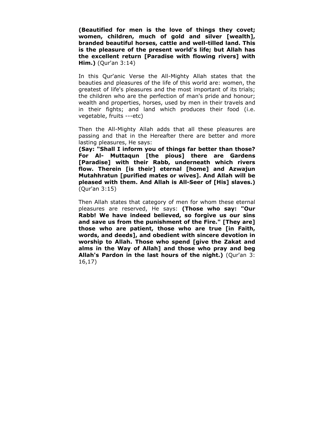**(Beautified for men is the love of things they covet; women, children, much of gold and silver [wealth], branded beautiful horses, cattle and well-tilled land. This is the pleasure of the present world's life; but Allah has the excellent return [Paradise with flowing rivers] with Him.)** (Qur'an 3:14)

In this Qur'anic Verse the All-Mighty Allah states that the beauties and pleasures of the life of this world are: women, the greatest of life's pleasures and the most important of its trials; the children who are the perfection of man's pride and honour; wealth and properties, horses, used by men in their travels and in their fights; and land which produces their food (i.e. vegetable, fruits ---etc)

Then the All-Mighty Allah adds that all these pleasures are passing and that in the Hereafter there are better and more lasting pleasures, He says:

**(Say: "Shall I inform you of things far better than those? For Al- Muttaqun [the pious] there are Gardens [Paradise] with their Rabb, underneath which rivers flow. Therein [is their] eternal [home] and Azwajun Mutahhratun [purified mates or wives]. And Allah will be pleased with them. And Allah is All-Seer of [His] slaves.)** (Qur'an 3:15)

Then Allah states that category of men for whom these eternal pleasures are reserved, He says: **(Those who say: "Our Rabb! We have indeed believed, so forgive us our sins and save us from the punishment of the Fire." [They are] those who are patient, those who are true [in Faith, words, and deeds], and obedient with sincere devotion in worship to Allah. Those who spend [give the Zakat and alms in the Way of Allah] and those who pray and beg Allah's Pardon in the last hours of the night.)** (Qur'an 3: 16,17)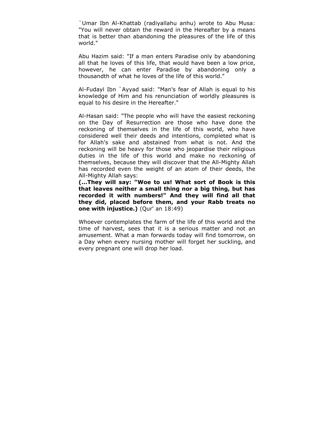`Umar Ibn Al-Khattab (radiyallahu anhu) wrote to Abu Musa: "You will never obtain the reward in the Hereafter by a means that is better than abandoning the pleasures of the life of this world."

Abu Hazim said: "If a man enters Paradise only by abandoning all that he loves of this life, that would have been a low price, however, he can enter Paradise by abandoning only a thousandth of what he loves of the life of this world."

Al-Fudayl Ibn `Ayyad said: "Man's fear of Allah is equal to his knowledge of Him and his renunciation of worldly pleasures is equal to his desire in the Hereafter."

Al-Hasan said: "The people who will have the easiest reckoning on the Day of Resurrection are those who have done the reckoning of themselves in the life of this world, who have considered well their deeds and intentions, completed what is for Allah's sake and abstained from what is not. And the reckoning will be heavy for those who jeopardise their religious duties in the life of this world and make no reckoning of themselves, because they will discover that the All-Mighty Allah has recorded even the weight of an atom of their deeds, the All-Mighty Allah says:

**(...They will say: "Woe to us! What sort of Book is this that leaves neither a small thing nor a big thing, but has recorded it with numbers!" And they will find all that they did, placed before them, and your Rabb treats no one with injustice.)** (Qur' an 18:49)

Whoever contemplates the farm of the life of this world and the time of harvest, sees that it is a serious matter and not an amusement. What a man forwards today will find tomorrow, on a Day when every nursing mother will forget her suckling, and every pregnant one will drop her load.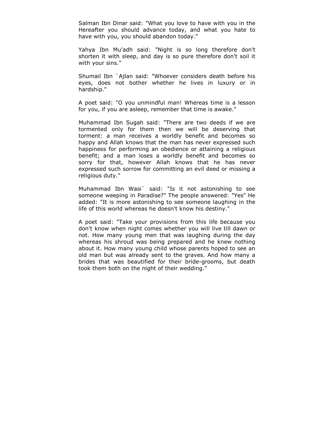Salman Ibn Dinar said: "What you love to have with you in the Hereafter you should advance today, and what you hate to have with you, you should abandon today."

Yahya Ibn Mu'adh said: "Night is so long therefore don't shorten it with sleep, and day is so pure therefore don't soil it with your sins."

Shumail Ibn `Ajlan said: "Whoever considers death before his eyes, does not bother whether he lives in luxury or in hardship."

A poet said: "O you unmindful man! Whereas time is a lesson for you, if you are asleep, remember that time is awake."

Muhammad Ibn Sugah said: "There are two deeds if we are tormented only for them then we will be deserving that torment: a man receives a worldly benefit and becomes so happy and Allah knows that the man has never expressed such happiness for performing an obedience or attaining a religious benefit; and a man loses a worldly benefit and becomes so sorry for that, however Allah knows that he has never expressed such sorrow for committing an evil deed or missing a religious duty."

Muhammad Ibn Wasi` said: "Is it not astonishing to see someone weeping in Paradise?" The people answered: "Yes" He added: "It is more astonishing to see someone laughing in the life of this world whereas he doesn't know his destiny."

A poet said: "Take your provisions from this life because you don't know when night comes whether you will live till dawn or not. How many young men that was laughing during the day whereas his shroud was being prepared and he knew nothing about it. How many young child whose parents hoped to see an old man but was already sent to the graves. And how many a brides that was beautified for their bride-grooms, but death took them both on the night of their wedding."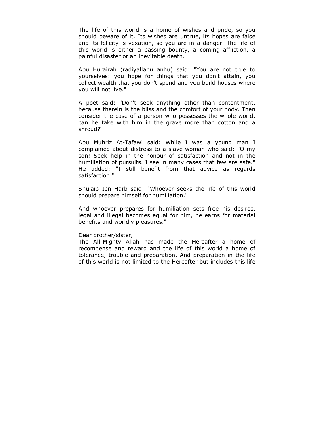The life of this world is a home of wishes and pride, so you should beware of it. Its wishes are untrue, its hopes are false and its felicity is vexation, so you are in a danger. The life of this world is either a passing bounty, a coming affliction, a painful disaster or an inevitable death.

Abu Hurairah (radiyallahu anhu) said: "You are not true to yourselves: you hope for things that you don't attain, you collect wealth that you don't spend and you build houses where you will not live."

A poet said: "Don't seek anything other than contentment, because therein is the bliss and the comfort of your body. Then consider the case of a person who possesses the whole world, can he take with him in the grave more than cotton and a shroud?"

Abu Muhriz At-Tafawi said: While I was a young man I complained about distress to a slave-woman who said: "O my son! Seek help in the honour of satisfaction and not in the humiliation of pursuits. I see in many cases that few are safe." He added: "I still benefit from that advice as regards satisfaction."

Shu'aib Ibn Harb said: "Whoever seeks the life of this world should prepare himself for humiliation."

And whoever prepares for humiliation sets free his desires, legal and illegal becomes equal for him, he earns for material benefits and worldly pleasures."

## Dear brother/sister,

The All-Mighty Allah has made the Hereafter a home of recompense and reward and the life of this world a home of tolerance, trouble and preparation. And preparation in the life of this world is not limited to the Hereafter but includes this life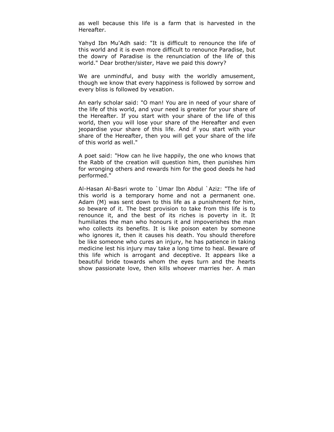as well because this life is a farm that is harvested in the Hereafter.

Yahyd Ibn Mu'Adh said: "It is difficult to renounce the life of this world and it is even more difficult to renounce Paradise, but the dowry of Paradise is the renunciation of the life of this world." Dear brother/sister, Have we paid this dowry?

We are unmindful, and busy with the worldly amusement, though we know that every happiness is followed by sorrow and every bliss is followed by vexation.

An early scholar said: "O man! You are in need of your share of the life of this world, and your need is greater for your share of the Hereafter. If you start with your share of the life of this world, then you will lose your share of the Hereafter and even jeopardise your share of this life. And if you start with your share of the Hereafter, then you will get your share of the life of this world as well."

A poet said: "How can he live happily, the one who knows that the Rabb of the creation will question him, then punishes him for wronging others and rewards him for the good deeds he had performed."

Al-Hasan Al-Basri wrote to `Umar Ibn Abdul `Aziz: "The life of this world is a temporary home and not a permanent one. Adam (M) was sent down to this life as a punishment for him, so beware of it. The best provision to take from this life is to renounce it, and the best of its riches is poverty in it. It humiliates the man who honours it and impoverishes the man who collects its benefits. It is like poison eaten by someone who ignores it, then it causes his death. You should therefore be like someone who cures an injury, he has patience in taking medicine lest his injury may take a long time to heal. Beware of this life which is arrogant and deceptive. It appears like a beautiful bride towards whom the eyes turn and the hearts show passionate love, then kills whoever marries her. A man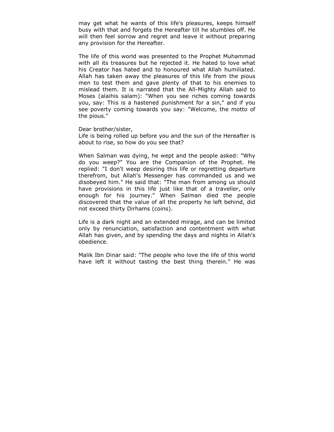may get what he wants of this life's pleasures, keeps himself busy with that and forgets the Hereafter till he stumbles off. He will then feel sorrow and regret and leave it without preparing any provision for the Hereafter.

The life of this world was presented to the Prophet Muhammad with all its treasures but he rejected it. He hated to love what his Creator has hated and to honoured what Allah humiliated. Allah has taken away the pleasures of this life from the pious men to test them and gave plenty of that to his enemies to mislead them. It is narrated that the All-Mighty Allah said to Moses (alaihis salam): "When you see riches coming towards you, say: This is a hastened punishment for a sin," and if you see poverty coming towards you say: "Welcome, the motto of the pious."

Dear brother/sister,

Life is being rolled up before you and the sun of the Hereafter is about to rise, so how do you see that?

When Salman was dying, he wept and the people asked: "Why do you weep?" You are the Companion of the Prophet. He replied: "I don't weep desiring this life or regretting departure therefrom, but Allah's Messenger has commanded us and we disobeyed him." He said that: "The man from among us should have provisions in this life just like that of a traveller, only enough for his journey." When Salman died the people discovered that the value of all the property he left behind, did not exceed thirty Dirhams (coins).

Life is a dark night and an extended mirage, and can be limited only by renunciation, satisfaction and contentment with what Allah has given, and by spending the days and nights in Allah's obedience.

Malik Ibn Dinar said: "The people who love the life of this world have left it without tasting the best thing therein." He was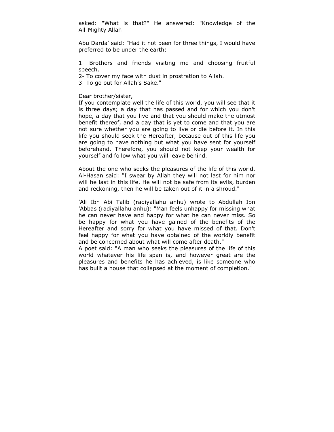asked: "What is that?" He answered: "Knowledge of the All-Mighty Allah

Abu Darda' said: "Had it not been for three things, I would have preferred to be under the earth:

1- Brothers and friends visiting me and choosing fruitful speech.

2- To cover my face with dust in prostration to Allah.

3- To go out for Allah's Sake."

Dear brother/sister,

If you contemplate well the life of this world, you will see that it is three days; a day that has passed and for which you don't hope, a day that you live and that you should make the utmost benefit thereof, and a day that is yet to come and that you are not sure whether you are going to live or die before it. In this life you should seek the Hereafter, because out of this life you are going to have nothing but what you have sent for yourself beforehand. Therefore, you should not keep your wealth for yourself and follow what you will leave behind.

About the one who seeks the pleasures of the life of this world, Al-Hasan said: "I swear by Allah they will not last for him nor will he last in this life. He will not be safe from its evils, burden and reckoning, then he will be taken out of it in a shroud."

'Ali Ibn Abi Talib (radiyallahu anhu) wrote to Abdullah Ibn 'Abbas (radiyallahu anhu): "Man feels unhappy for missing what he can never have and happy for what he can never miss. So be happy for what you have gained of the benefits of the Hereafter and sorry for what you have missed of that. Don't feel happy for what you have obtained of the worldly benefit and be concerned about what will come after death."

A poet said: "A man who seeks the pleasures of the life of this world whatever his life span is, and however great are the pleasures and benefits he has achieved, is like someone who has built a house that collapsed at the moment of completion."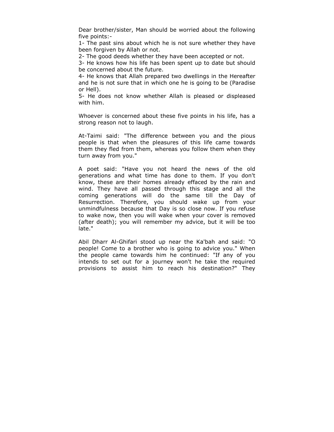Dear brother/sister, Man should be worried about the following five points:-

1- The past sins about which he is not sure whether they have been forgiven by Allah or not.

2- The good deeds whether they have been accepted or not.

3- He knows how his life has been spent up to date but should be concerned about the future.

4- He knows that Allah prepared two dwellings in the Hereafter and he is not sure that in which one he is going to be (Paradise or Hell).

5- He does not know whether Allah is pleased or displeased with him.

Whoever is concerned about these five points in his life, has a strong reason not to laugh.

At-Taimi said: "The difference between you and the pious people is that when the pleasures of this life came towards them they fled from them, whereas you follow them when they turn away from you."

A poet said: "Have you not heard the news of the old generations and what time has done to them. If you don't know, these are their homes already effaced by the rain and wind. They have all passed through this stage and all the coming generations will do the same till the Day of Resurrection. Therefore, you should wake up from your unmindfulness because that Day is so close now. If you refuse to wake now, then you will wake when your cover is removed (after death); you will remember my advice, but it will be too late."

Abil Dharr Al-Ghifari stood up near the Ka'bah and said: "O people! Come to a brother who is going to advice you." When the people came towards him he continued: "If any of you intends to set out for a journey won't he take the required provisions to assist him to reach his destination?" They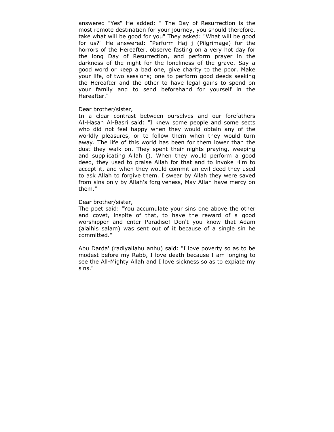answered "Yes" He added: " The Day of Resurrection is the most remote destination for your journey, you should therefore, take what will be good for you" They asked: "What will be good for us?" He answered: "Perform Haj j (Pilgrimage) for the horrors of the Hereafter, observe fasting on a very hot day for the long Day of Resurrection, and perform prayer in the darkness of the night for the loneliness of the grave. Say a good word or keep a bad one, give charity to the poor. Make your life, of two sessions; one to perform good deeds seeking the Hereafter and the other to have legal gains to spend on your family and to send beforehand for yourself in the Hereafter."

### Dear brother/sister,

In a clear contrast between ourselves and our forefathers AI-Hasan Al-Basri said: "I knew some people and some sects who did not feel happy when they would obtain any of the worldly pleasures, or to follow them when they would turn away. The life of this world has been for them lower than the dust they walk on. They spent their nights praying, weeping and supplicating Allah (). When they would perform a good deed, they used to praise Allah for that and to invoke Him to accept it, and when they would commit an evil deed they used to ask Allah to forgive them. I swear by Allah they were saved from sins only by Allah's forgiveness, May Allah have mercy on them."

## Dear brother/sister,

The poet said: "You accumulate your sins one above the other and covet, inspite of that, to have the reward of a good worshipper and enter Paradise! Don't you know that Adam (alaihis salam) was sent out of it because of a single sin he committed."

Abu Darda' (radiyallahu anhu) said: "I love poverty so as to be modest before my Rabb, I love death because I am longing to see the All-Mighty Allah and I love sickness so as to expiate my sins."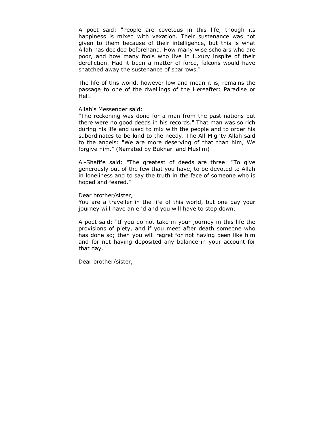A poet said: "People are covetous in this life, though its happiness is mixed with vexation. Their sustenance was not given to them because of their intelligence, but this is what Allah has decided beforehand. How many wise scholars who are poor, and how many fools who live in luxury inspite of their dereliction. Had it been a matter of force, falcons would have snatched away the sustenance of sparrows."

The life of this world, however low and mean it is, remains the passage to one of the dwellings of the Hereafter: Paradise or Hell.

## Allah's Messenger said:

"The reckoning was done for a man from the past nations but there were no good deeds in his records." That man was so rich during his life and used to mix with the people and to order his subordinates to be kind to the needy. The All-Mighty Allah said to the angels: "We are more deserving of that than him, We forgive him." (Narrated by Bukhari and Muslim)

Al-Shaft'e said: "The greatest of deeds are three: "To give generously out of the few that you have, to be devoted to Allah in loneliness and to say the truth in the face of someone who is hoped and feared."

# Dear brother/sister,

You are a traveller in the life of this world, but one day your journey will have an end and you will have to step down.

A poet said: "If you do not take in your journey in this life the provisions of piety, and if you meet after death someone who has done so; then you will regret for not having been like him and for not having deposited any balance in your account for that day."

Dear brother/sister,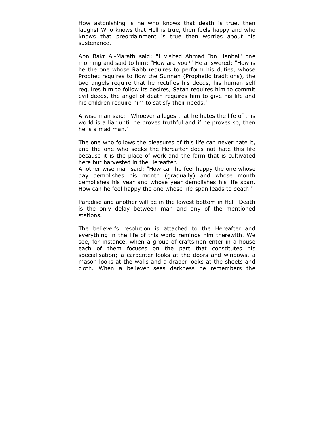How astonishing is he who knows that death is true, then laughs! Who knows that Hell is true, then feels happy and who knows that preordainment is true then worries about his sustenance.

Abn Bakr Al-Marath said: "I visited Ahmad Ibn Hanbal" one morning and said to him: "How are you?" He answered: "How is he the one whose Rabb requires to perform his duties, whose Prophet requires to flow the Sunnah (Prophetic traditions), the two angels require that he rectifies his deeds, his human self requires him to follow its desires, Satan requires him to commit evil deeds, the angel of death requires him to give his life and his children require him to satisfy their needs."

A wise man said: "Whoever alleges that he hates the life of this world is a liar until he proves truthful and if he proves so, then he is a mad man."

The one who follows the pleasures of this life can never hate it, and the one who seeks the Hereafter does not hate this life because it is the place of work and the farm that is cultivated here but harvested in the Hereafter.

Another wise man said: "How can he feel happy the one whose day demolishes his month (gradually) and whose month demolishes his year and whose year demolishes his life span. How can he feel happy the one whose life-span leads to death."

Paradise and another will be in the lowest bottom in Hell. Death is the only delay between man and any of the mentioned stations.

The believer's resolution is attached to the Hereafter and everything in the life of this world reminds him therewith. We see, for instance, when a group of craftsmen enter in a house each of them focuses on the part that constitutes his specialisation; a carpenter looks at the doors and windows, a mason looks at the walls and a draper looks at the sheets and cloth. When a believer sees darkness he remembers the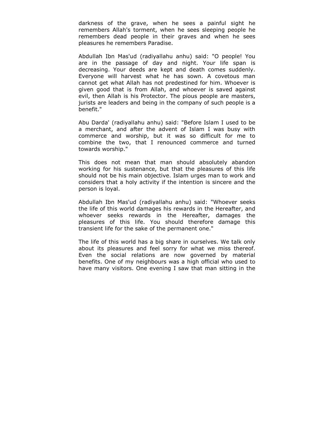darkness of the grave, when he sees a painful sight he remembers Allah's torment, when he sees sleeping people he remembers dead people in their graves and when he sees pleasures he remembers Paradise.

Abdullah Ibn Mas'ud (radiyallahu anhu) said: "O people! You are in the passage of day and night. Your life span is decreasing. Your deeds are kept and death comes suddenly. Everyone will harvest what he has sown. A covetous man cannot get what Allah has not predestined for him. Whoever is given good that is from Allah, and whoever is saved against evil, then Allah is his Protector. The pious people are masters, jurists are leaders and being in the company of such people is a benefit."

Abu Darda' (radiyallahu anhu) said: "Before Islam I used to be a merchant, and after the advent of Islam I was busy with commerce and worship, but it was so difficult for me to combine the two, that I renounced commerce and turned towards worship."

This does not mean that man should absolutely abandon working for his sustenance, but that the pleasures of this life should not be his main objective. Islam urges man to work and considers that a holy activity if the intention is sincere and the person is loyal.

Abdullah Ibn Mas'ud (radiyallahu anhu) said: "Whoever seeks the life of this world damages his rewards in the Hereafter, and whoever seeks rewards in the Hereafter, damages the pleasures of this life. You should therefore damage this transient life for the sake of the permanent one."

The life of this world has a big share in ourselves. We talk only about its pleasures and feel sorry for what we miss thereof. Even the social relations are now governed by material benefits. One of my neighbours was a high official who used to have many visitors. One evening I saw that man sitting in the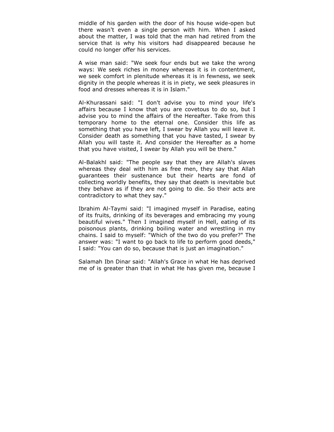middle of his garden with the door of his house wide-open but there wasn't even a single person with him. When I asked about the matter, I was told that the man had retired from the service that is why his visitors had disappeared because he could no longer offer his services.

A wise man said: "We seek four ends but we take the wrong ways: We seek riches in money whereas it is in contentment, we seek comfort in plenitude whereas it is in fewness, we seek dignity in the people whereas it is in piety, we seek pleasures in food and dresses whereas it is in Islam."

Al-Khurassani said: "I don't advise you to mind your life's affairs because I know that you are covetous to do so, but I advise you to mind the affairs of the Hereafter. Take from this temporary home to the eternal one. Consider this life as something that you have left, I swear by Allah you will leave it. Consider death as something that you have tasted, I swear by Allah you will taste it. And consider the Hereafter as a home that you have visited, I swear by Allah you will be there."

Al-Balakhl said: "The people say that they are Allah's slaves whereas they deal with him as free men, they say that Allah guarantees their sustenance but their hearts are fond of collecting worldly benefits, they say that death is inevitable but they behave as if they are not going to die. So their acts are contradictory to what they say."

Ibrahim Al-Taymi said: "I imagined myself in Paradise, eating of its fruits, drinking of its beverages and embracing my young beautiful wives." Then I imagined myself in Hell, eating of its poisonous plants, drinking boiling water and wrestling in my chains. I said to myself: "Which of the two do you prefer?" The answer was: "I want to go back to life to perform good deeds," I said: "You can do so, because that is just an imagination."

Salamah Ibn Dinar said: "Allah's Grace in what He has deprived me of is greater than that in what He has given me, because I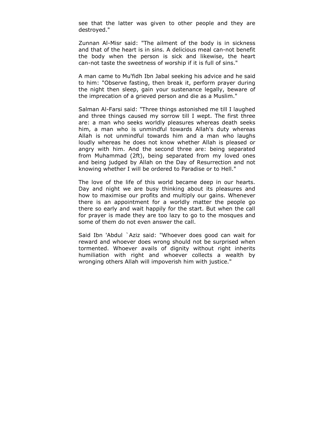see that the latter was given to other people and they are destroyed."

Zunnan Al-Misr said: "The ailment of the body is in sickness and that of the heart is in sins. A delicious meal can-not benefit the body when the person is sick and likewise, the heart can-not taste the sweetness of worship if it is full of sins."

A man came to Mu'fidh Ibn Jabal seeking his advice and he said to him: "Observe fasting, then break it, perform prayer during the night then sleep, gain your sustenance legally, beware of the imprecation of a grieved person and die as a Muslim."

Salman Al-Farsi said: "Three things astonished me till I laughed and three things caused my sorrow till I wept. The first three are: a man who seeks worldly pleasures whereas death seeks him, a man who is unmindful towards Allah's duty whereas Allah is not unmindful towards him and a man who laughs loudly whereas he does not know whether Allah is pleased or angry with him. And the second three are: being separated from Muhammad (2ft), being separated from my loved ones and being judged by Allah on the Day of Resurrection and not knowing whether I will be ordered to Paradise or to Hell."

The love of the life of this world became deep in our hearts. Day and night we are busy thinking about its pleasures and how to maximise our profits and multiply our gains. Whenever there is an appointment for a worldly matter the people go there so early and wait happily for the start. But when the call for prayer is made they are too lazy to go to the mosques and some of them do not even answer the call.

Said Ibn 'Abdul `Aziz said: "Whoever does good can wait for reward and whoever does wrong should not be surprised when tormented. Whoever avails of dignity without right inherits humiliation with right and whoever collects a wealth by wronging others Allah will impoverish him with justice."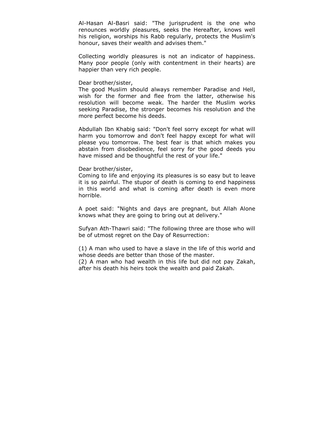Al-Hasan Al-Basri said: "The jurisprudent is the one who renounces worldly pleasures, seeks the Hereafter, knows well his religion, worships his Rabb regularly, protects the Muslim's honour, saves their wealth and advises them."

Collecting worldly pleasures is not an indicator of happiness. Many poor people (only with contentment in their hearts) are happier than very rich people.

### Dear brother/sister,

The good Muslim should always remember Paradise and Hell, wish for the former and flee from the latter, otherwise his resolution will become weak. The harder the Muslim works seeking Paradise, the stronger becomes his resolution and the more perfect become his deeds.

Abdullah Ibn Khabig said: "Don't feel sorry except for what will harm you tomorrow and don't feel happy except for what will please you tomorrow. The best fear is that which makes you abstain from disobedience, feel sorry for the good deeds you have missed and be thoughtful the rest of your life."

## Dear brother/sister,

Coming to life and enjoying its pleasures is so easy but to leave it is so painful. The stupor of death is coming to end happiness in this world and what is coming after death is even more horrible.

A poet said: "Nights and days are pregnant, but Allah Alone knows what they are going to bring out at delivery."

Sufyan Ath-Thawri said: "The following three are those who will be of utmost regret on the Day of Resurrection:

(1) A man who used to have a slave in the life of this world and whose deeds are better than those of the master.

(2) A man who had wealth in this life but did not pay Zakah, after his death his heirs took the wealth and paid Zakah.